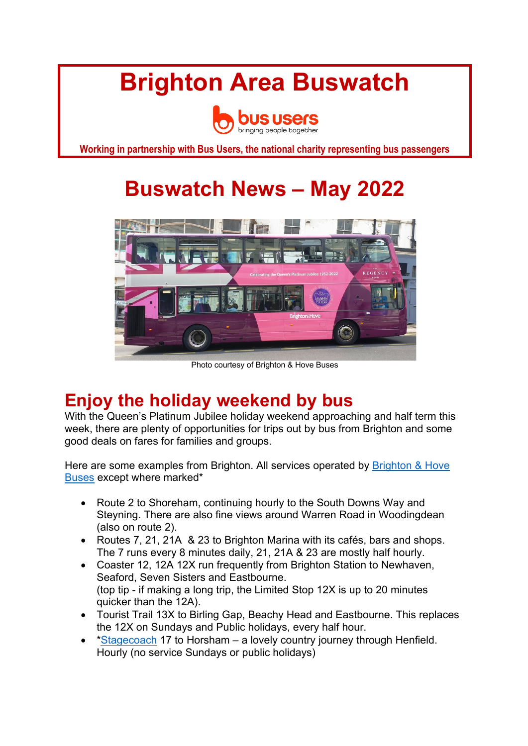# **Brighton Area Buswatch**



**Working in partnership with Bus Users, the national charity representing bus passengers**

## **Buswatch News – May 2022**



Photo courtesy of Brighton & Hove Buses

## **Enjoy the holiday weekend by bus**

With the Queen's Platinum Jubilee holiday weekend approaching and half term this week, there are plenty of opportunities for trips out by bus from Brighton and some good deals on fares for families and groups.

Here are some examples from Brighton. All services operated by Brighton & Hove Buses except where marked\*

- Route 2 to Shoreham, continuing hourly to the South Downs Way and Steyning. There are also fine views around Warren Road in Woodingdean (also on route 2).
- Routes 7, 21, 21A & 23 to Brighton Marina with its cafés, bars and shops. The 7 runs every 8 minutes daily, 21, 21A & 23 are mostly half hourly.
- Coaster 12, 12A 12X run frequently from Brighton Station to Newhaven, Seaford, Seven Sisters and Eastbourne. (top tip - if making a long trip, the Limited Stop 12X is up to 20 minutes quicker than the 12A).
- Tourist Trail 13X to Birling Gap, Beachy Head and Eastbourne. This replaces the 12X on Sundays and Public holidays, every half hour.
- \*Stagecoach 17 to Horsham a lovely country journey through Henfield. Hourly (no service Sundays or public holidays)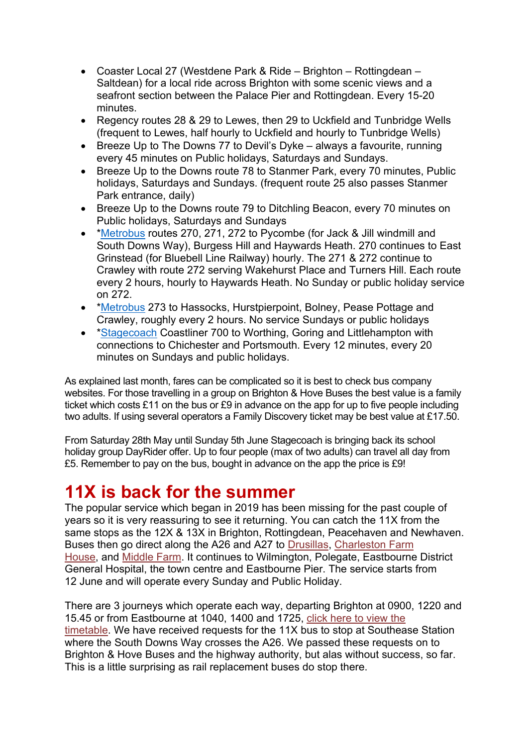- Coaster Local 27 (Westdene Park & Ride Brighton Rottingdean Saltdean) for a local ride across Brighton with some scenic views and a seafront section between the Palace Pier and Rottingdean. Every 15-20 minutes.
- Regency routes 28 & 29 to Lewes, then 29 to Uckfield and Tunbridge Wells (frequent to Lewes, half hourly to Uckfield and hourly to Tunbridge Wells)
- Breeze Up to The Downs 77 to Devil's Dyke always a favourite, running every 45 minutes on Public holidays, Saturdays and Sundays.
- Breeze Up to the Downs route 78 to Stanmer Park, every 70 minutes, Public holidays, Saturdays and Sundays. (frequent route 25 also passes Stanmer Park entrance, daily)
- Breeze Up to the Downs route 79 to Ditchling Beacon, every 70 minutes on Public holidays, Saturdays and Sundays
- \*Metrobus routes 270, 271, 272 to Pycombe (for Jack & Jill windmill and South Downs Way), Burgess Hill and Haywards Heath. 270 continues to East Grinstead (for Bluebell Line Railway) hourly. The 271 & 272 continue to Crawley with route 272 serving Wakehurst Place and Turners Hill. Each route every 2 hours, hourly to Haywards Heath. No Sunday or public holiday service on 272.
- \* Metrobus 273 to Hassocks, Hurstpierpoint, Bolney, Pease Pottage and Crawley, roughly every 2 hours. No service Sundays or public holidays
- \*Stagecoach Coastliner 700 to Worthing, Goring and Littlehampton with connections to Chichester and Portsmouth. Every 12 minutes, every 20 minutes on Sundays and public holidays.

As explained last month, fares can be complicated so it is best to check bus company websites. For those travelling in a group on Brighton & Hove Buses the best value is a family ticket which costs £11 on the bus or £9 in advance on the app for up to five people including two adults. If using several operators a Family Discovery ticket may be best value at £17.50.

From Saturday 28th May until Sunday 5th June Stagecoach is bringing back its school holiday group DayRider offer. Up to four people (max of two adults) can travel all day from £5. Remember to pay on the bus, bought in advance on the app the price is £9!

## **11X is back for the summer**

The popular service which began in 2019 has been missing for the past couple of years so it is very reassuring to see it returning. You can catch the 11X from the same stops as the 12X & 13X in Brighton, Rottingdean, Peacehaven and Newhaven. Buses then go direct along the A26 and A27 to Drusillas, Charleston Farm House, and Middle Farm. It continues to Wilmington, Polegate, Eastbourne District General Hospital, the town centre and Eastbourne Pier. The service starts from 12 June and will operate every Sunday and Public Holiday.

There are 3 journeys which operate each way, departing Brighton at 0900, 1220 and 15.45 or from Eastbourne at 1040, 1400 and 1725, click here to view the timetable. We have received requests for the 11X bus to stop at Southease Station where the South Downs Way crosses the A26. We passed these requests on to Brighton & Hove Buses and the highway authority, but alas without success, so far. This is a little surprising as rail replacement buses do stop there.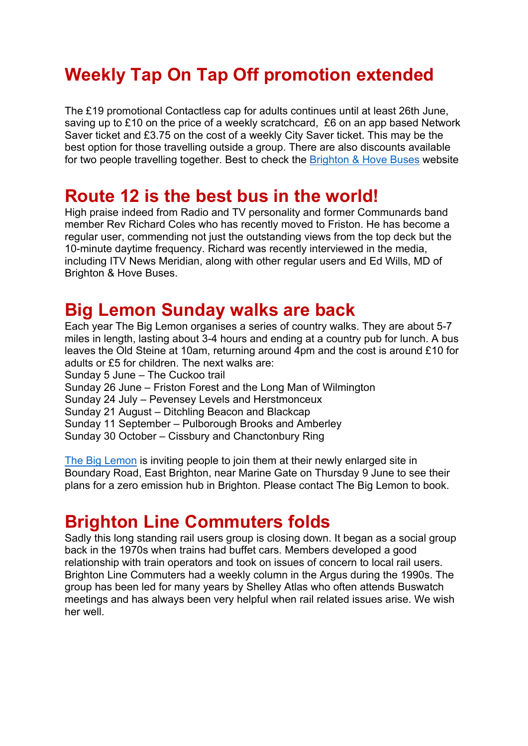## **Weekly Tap On Tap Off promotion extended**

The £19 promotional Contactless cap for adults continues until at least 26th June, saving up to £10 on the price of a weekly scratchcard, £6 on an app based Network Saver ticket and £3.75 on the cost of a weekly City Saver ticket. This may be the best option for those travelling outside a group. There are also discounts available for two people travelling together. Best to check the Brighton & Hove Buses website

### **Route 12 is the best bus in the world!**

High praise indeed from Radio and TV personality and former Communards band member Rev Richard Coles who has recently moved to Friston. He has become a regular user, commending not just the outstanding views from the top deck but the 10-minute daytime frequency. Richard was recently interviewed in the media, including ITV News Meridian, along with other regular users and Ed Wills, MD of Brighton & Hove Buses.

#### **Big Lemon Sunday walks are back**

Each year The Big Lemon organises a series of country walks. They are about 5-7 miles in length, lasting about 3-4 hours and ending at a country pub for lunch. A bus leaves the Old Steine at 10am, returning around 4pm and the cost is around £10 for adults or £5 for children. The next walks are: Sunday 5 June – The Cuckoo trail Sunday 26 June – Friston Forest and the Long Man of Wilmington Sunday 24 July – Pevensey Levels and Herstmonceux Sunday 21 August – Ditchling Beacon and Blackcap Sunday 11 September – Pulborough Brooks and Amberley Sunday 30 October – Cissbury and Chanctonbury Ring

The Big Lemon is inviting people to join them at their newly enlarged site in Boundary Road, East Brighton, near Marine Gate on Thursday 9 June to see their plans for a zero emission hub in Brighton. Please contact The Big Lemon to book.

## **Brighton Line Commuters folds**

Sadly this long standing rail users group is closing down. It began as a social group back in the 1970s when trains had buffet cars. Members developed a good relationship with train operators and took on issues of concern to local rail users. Brighton Line Commuters had a weekly column in the Argus during the 1990s. The group has been led for many years by Shelley Atlas who often attends Buswatch meetings and has always been very helpful when rail related issues arise. We wish her well.